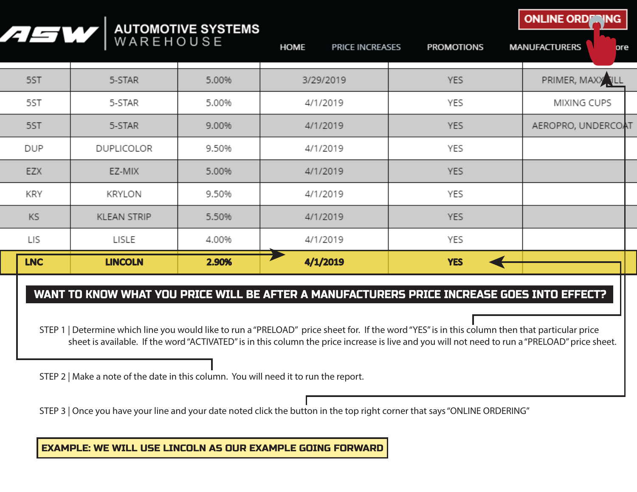| /15W       | WAREHOUSE          | <b>AUTOMOTIVE SYSTEMS</b> | <b>HOME</b><br><b>PRICE INCREASES</b> | <b>PROMOTIONS</b> | <b>UNLINE URD</b><br><b>ANNA</b><br><b>MANUFACTURERS</b><br>ore |
|------------|--------------------|---------------------------|---------------------------------------|-------------------|-----------------------------------------------------------------|
| 5ST        | 5-STAR             | 5.00%                     | 3/29/2019                             | <b>YES</b>        | PRIMER, MAXX TILL                                               |
| 5ST        | 5-STAR             | 5.00%                     | 4/1/2019                              | YES               | MIXING CUPS                                                     |
| 5ST        | 5-STAR             | 9.00%                     | 4/1/2019                              | <b>YES</b>        | AEROPRO, UNDERCOAT                                              |
| <b>DUP</b> | DUPLICOLOR         | 9.50%                     | 4/1/2019                              | YES               |                                                                 |
| <b>EZX</b> | EZ-MIX             | 5.00%                     | 4/1/2019                              | <b>YES</b>        |                                                                 |
| KRY        | KRYLON             | 9.50%                     | 4/1/2019                              | YES               |                                                                 |
| KS         | <b>KLEAN STRIP</b> | 5.50%                     | 4/1/2019                              | <b>YES</b>        |                                                                 |
| LIS        | LISLE              | 4.00%                     | 4/1/2019                              | YES               |                                                                 |
| <b>LNC</b> | <b>LINCOLN</b>     | 2.90%                     | 4/1/2019                              | <b>YES</b>        |                                                                 |

## WANT TO KNOW WHAT YOU PRICE WILL BE AFTER A MANUFACTURERS PRICE INCREASE GOES INTO EFFECT?

STEP 1 | Determine which line you would like to run a "PRELOAD" price sheet for. If the word "YES" is in this column then that particular price sheet is available. If the word "ACTIVATED" is in this column the price increase is live and you will not need to run a "PRELOAD" price sheet.

STEP 2 | Make a note of the date in this column. You will need it to run the report.

STEP 3 | Once you have your line and your date noted click the button in the top right corner that says "ONLINE ORDERING"

EXAMPLE: WE WILL USE LINCOLN AS OUR EXAMPLE GOING FORWARD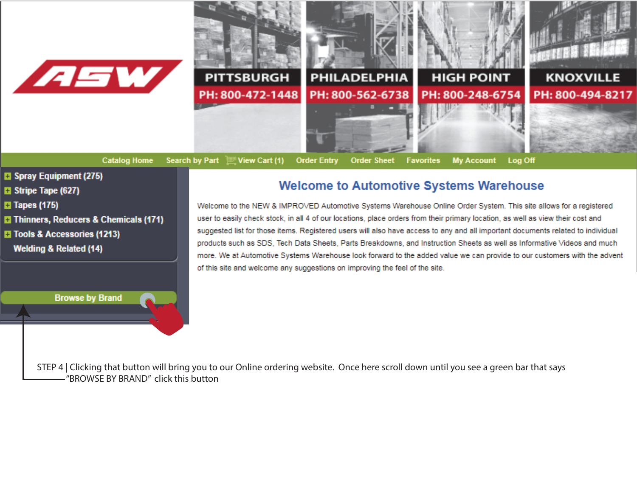

**Catalog Home** 



**B** Spray Equipment (275)

- **El Stripe Tape (627)**
- **El Tapes (175)**
- **E** Thinners, Reducers & Chemicals (171)

**Browse by Brand** 

- **T** Tools & Accessories (1213)
- **Welding & Related (14)**

## **Welcome to Automotive Systems Warehouse**

Welcome to the NEW & IMPROVED Automotive Systems Warehouse Online Order System. This site allows for a registered user to easily check stock, in all 4 of our locations, place orders from their primary location, as well as view their cost and suggested list for those items. Registered users will also have access to any and all important documents related to individual products such as SDS, Tech Data Sheets, Parts Breakdowns, and Instruction Sheets as well as Informative Videos and much more. We at Automotive Systems Warehouse look forward to the added value we can provide to our customers with the advent of this site and welcome any suggestions on improving the feel of the site.

STEP 4 | Clicking that button will bring you to our Online ordering website. Once here scroll down until you see a green bar that says -"BROWSE BY BRAND" click this button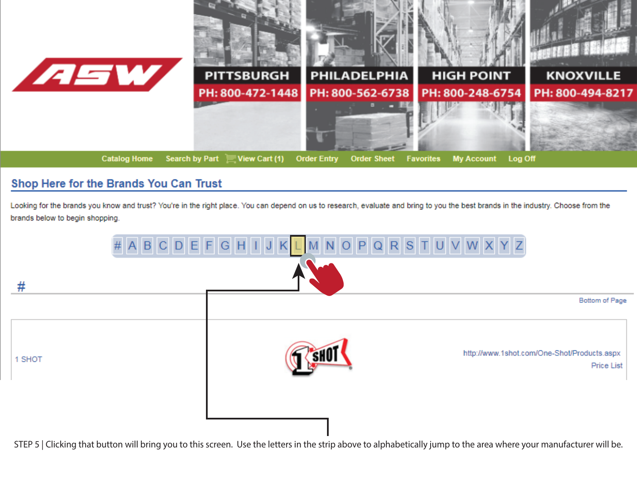

## Shop Here for the Brands You Can Trust

Looking for the brands you know and trust? You're in the right place. You can depend on us to research, evaluate and bring to you the best brands in the industry. Choose from the brands below to begin shopping.



STEP 5 | Clicking that button will bring you to this screen. Use the letters in the strip above to alphabetically jump to the area where your manufacturer will be.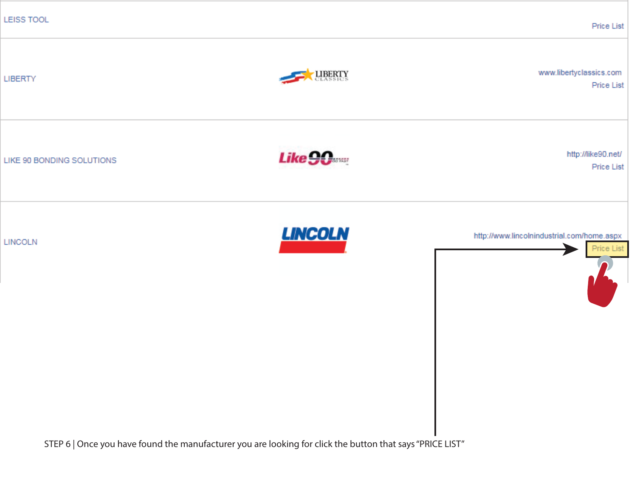